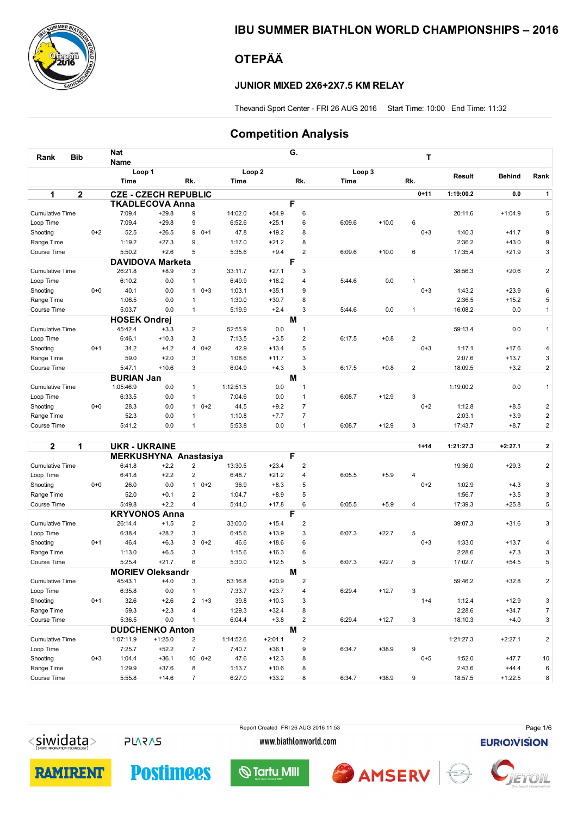

## IBU SUMMER BIATHLON WORLD CHAMPIONSHIPS – 2016

## OTEPÄÄ

## JUNIOR MIXED 2X6+2X7.5 KM RELAY

Thevandi Sport Center - FRI 26 AUG 2016 Start Time: 10:00 End Time: 11:32

## Competition Analysis

| <b>Bib</b><br>Rank     |                | <b>Nat</b>          |                             |              |         |           |                   | G.             |        |         | T                       |           |               |                |
|------------------------|----------------|---------------------|-----------------------------|--------------|---------|-----------|-------------------|----------------|--------|---------|-------------------------|-----------|---------------|----------------|
|                        |                | <b>Name</b>         |                             |              |         |           |                   |                |        |         |                         |           |               |                |
|                        |                |                     | Loop 1                      |              |         |           | Loop <sub>2</sub> |                | Loop 3 |         |                         | Result    | <b>Behind</b> | Rank           |
|                        |                | Time                |                             | Rk.          |         | Time      |                   | Rk.            | Time   |         | Rk.                     |           |               |                |
| 1                      | $\overline{2}$ |                     | <b>CZE - CZECH REPUBLIC</b> |              |         |           |                   |                |        |         | $0 + 11$                | 1:19:00.2 | 0.0           | $\mathbf{1}$   |
|                        |                |                     | <b>TKADLECOVA Anna</b>      |              |         |           |                   | F              |        |         |                         |           |               |                |
| <b>Cumulative Time</b> |                | 7:09.4              | $+29.8$                     | 9            |         | 14:02.0   | $+54.9$           | 6              |        |         |                         | 20:11.6   | $+1:04.9$     | 5              |
| Loop Time              |                | 7:09.4              | $+29.8$                     | 9            |         | 6:52.6    | $+25.1$           | 6              | 6:09.6 | $+10.0$ | 6                       |           |               |                |
| Shooting               | $0+2$          | 52.5                | $+26.5$                     | 9            | $0+1$   | 47.8      | $+19.2$           | 8              |        |         | $0 + 3$                 | 1:40.3    | $+41.7$       | 9              |
| Range Time             |                | 1:19.2              | $+27.3$                     | 9            |         | 1:17.0    | $+21.2$           | 8              |        |         |                         | 2:36.2    | $+43.0$       | 9              |
| Course Time            |                | 5:50.2              | $+2.6$                      | 5            |         | 5:35.6    | $+9.4$            | $\overline{2}$ | 6:09.6 | $+10.0$ | 6                       | 17:35.4   | $+21.9$       | $\mathbf{3}$   |
|                        |                | <b>DAVIDOVA</b>     | <b>Marketa</b>              |              |         |           |                   | F              |        |         |                         |           |               |                |
| <b>Cumulative Time</b> |                | 26:21.8             | $+8.9$                      | 3            |         | 33:11.7   | $+27.1$           | 3              |        |         |                         | 38:56.3   | $+20.6$       | $\overline{2}$ |
| Loop Time              |                | 6:10.2              | 0.0                         | 1            |         | 6:49.9    | $+18.2$           | 4              | 5:44.6 | 0.0     |                         |           |               |                |
| Shooting               | $0+0$          | 40.1                | 0.0                         | $\mathbf{1}$ | $0 + 3$ | 1:03.1    | $+35.1$           | 9              |        |         | $0 + 3$                 | 1:43.2    | $+23.9$       | 6              |
| Range Time             |                | 1:06.5              | 0.0                         | 1            |         | 1:30.0    | $+30.7$           | 8              |        |         |                         | 2:36.5    | $+15.2$       | 5              |
| Course Time            |                | 5:03.7              | 0.0                         | 1            |         | 5:19.9    | $+2.4$            | 3              | 5:44.6 | 0.0     | 1                       | 16:08.2   | 0.0           | $\mathbf{1}$   |
|                        |                | <b>HOSEK Ondrej</b> |                             |              |         |           |                   | M              |        |         |                         |           |               |                |
| <b>Cumulative Time</b> |                | 45:42.4             | $+3.3$                      | 2            |         | 52:55.9   | 0.0               | $\mathbf{1}$   |        |         |                         | 59:13.4   | 0.0           | $\mathbf{1}$   |
| Loop Time              |                | 6:46.1              | $+10.3$                     | 3            |         | 7:13.5    | $+3.5$            | $\overline{2}$ | 6:17.5 | $+0.8$  | $\overline{\mathbf{c}}$ |           |               |                |
| Shooting               | $0+1$          | 34.2                | $+4.2$                      | 4            | $0+2$   | 42.9      | $+13.4$           | 5              |        |         | $0 + 3$                 | 1:17.1    | $+17.6$       | 4              |
| Range Time             |                | 59.0                | $+2.0$                      | 3            |         | 1:08.6    | $+11.7$           | 3              |        |         |                         | 2:07.6    | $+13.7$       | $\mathbf{3}$   |
| Course Time            |                | 5:47.1              | $+10.6$                     | 3            |         | 6:04.9    | $+4.3$            | 3              | 6:17.5 | $+0.8$  | $\overline{2}$          | 18:09.5   | $+3.2$        | $\overline{a}$ |
|                        |                | <b>BURIAN Jan</b>   |                             |              |         |           |                   | M              |        |         |                         |           |               |                |
| <b>Cumulative Time</b> |                | 1:05:46.9           | 0.0                         | $\mathbf{1}$ |         | 1:12:51.5 | 0.0               | 1              |        |         |                         | 1:19:00.2 | 0.0           | $\mathbf{1}$   |
| Loop Time              |                | 6:33.5              | 0.0                         | $\mathbf{1}$ |         | 7:04.6    | 0.0               | $\mathbf{1}$   | 6:08.7 | $+12.9$ | 3                       |           |               |                |
| Shooting               | $0+0$          | 28.3                | 0.0                         |              | $10+2$  | 44.5      | $+9.2$            | $\overline{7}$ |        |         | $0+2$                   | 1:12.8    | $+8.5$        | $\overline{2}$ |
| Range Time             |                | 52.3                | 0.0                         | 1            |         | 1:10.8    | $+7.7$            | $\overline{7}$ |        |         |                         | 2:03.1    | $+3.9$        | $\overline{2}$ |
| Course Time            |                | 5:41.2              | 0.0                         |              |         | 5:53.8    | 0.0               | 1              | 6:08.7 | $+12.9$ | 3                       | 17:43.7   | $+8.7$        | $\overline{a}$ |

| $\mathbf{2}$<br>1      |         | <b>UKR-UKRAINE</b>      |           |                 |               |           |                |        |         | $1 + 14$ | 1:21:27.3 | $+2:27.1$ | 2              |
|------------------------|---------|-------------------------|-----------|-----------------|---------------|-----------|----------------|--------|---------|----------|-----------|-----------|----------------|
|                        |         | MERKUSHYNA Anastasiya   |           |                 |               |           | F              |        |         |          |           |           |                |
| <b>Cumulative Time</b> |         | 6:41.8                  | $+2.2$    | $\overline{2}$  | 13:30.5       | $+23.4$   | $\overline{2}$ |        |         |          | 19:36.0   | $+29.3$   | 2              |
| Loop Time              |         | 6:41.8                  | $+2.2$    | $\overline{2}$  | 6:48.7        | $+21.2$   | 4              | 6:05.5 | $+5.9$  | 4        |           |           |                |
| Shooting               | $0 + 0$ | 26.0                    | 0.0       | $\mathbf{1}$    | 36.9<br>$0+2$ | $+8.3$    | 5              |        |         | $0+2$    | 1:02.9    | $+4.3$    | 3              |
| Range Time             |         | 52.0                    | $+0.1$    | 2               | 1:04.7        | $+8.9$    | 5              |        |         |          | 1:56.7    | $+3.5$    | 3              |
| Course Time            |         | 5:49.8                  | $+2.2$    | 4               | 5:44.0        | $+17.8$   | 6              | 6:05.5 | $+5.9$  | 4        | 17:39.3   | $+25.8$   | 5              |
|                        |         | <b>KRYVONOS Anna</b>    |           |                 |               |           | F              |        |         |          |           |           |                |
| <b>Cumulative Time</b> |         | 26:14.4                 | $+1.5$    | 2               | 33:00.0       | $+15.4$   | 2              |        |         |          | 39:07.3   | $+31.6$   | 3              |
| Loop Time              |         | 6:38.4                  | $+28.2$   | 3               | 6:45.6        | $+13.9$   | 3              | 6:07.3 | $+22.7$ | 5        |           |           |                |
| Shooting               | $0+1$   | 46.4                    | $+6.3$    | 3               | $0+2$<br>46.6 | $+18.6$   | 6              |        |         | $0 + 3$  | 1:33.0    | $+13.7$   | 4              |
| Range Time             |         | 1:13.0                  | $+6.5$    | 3               | 1:15.6        | $+16.3$   | 6              |        |         |          | 2:28.6    | $+7.3$    | 3              |
| Course Time            |         | 5:25.4                  | $+21.7$   | 6               | 5:30.0        | $+12.5$   | 5              | 6:07.3 | $+22.7$ | 5        | 17:02.7   | $+54.5$   | 5              |
|                        |         | <b>MORIEV Oleksandr</b> |           |                 |               |           | M              |        |         |          |           |           |                |
| <b>Cumulative Time</b> |         | 45:43.1                 | $+4.0$    | 3               | 53:16.8       | $+20.9$   | $\overline{2}$ |        |         |          | 59:46.2   | $+32.8$   | 2              |
| Loop Time              |         | 6:35.8                  | 0.0       |                 | 7:33.7        | $+23.7$   | 4              | 6:29.4 | $+12.7$ | 3        |           |           |                |
| Shooting               | $0+1$   | 32.6                    | $+2.6$    | $2 + 3$         | 39.8          | $+10.3$   | 3              |        |         | $1+4$    | 1:12.4    | $+12.9$   | 3              |
| Range Time             |         | 59.3                    | $+2.3$    | 4               | 1:29.3        | $+32.4$   | 8              |        |         |          | 2:28.6    | $+34.7$   | $\overline{7}$ |
| Course Time            |         | 5:36.5                  | 0.0       |                 | 6:04.4        | $+3.8$    | $\overline{2}$ | 6:29.4 | $+12.7$ | 3        | 18:10.3   | $+4.0$    | 3              |
|                        |         | <b>DUDCHENKO Anton</b>  |           |                 |               |           | M              |        |         |          |           |           |                |
| <b>Cumulative Time</b> |         | 1:07:11.9               | $+1:25.0$ | 2               | 1:14:52.6     | $+2:01.1$ | $\overline{2}$ |        |         |          | 1:21:27.3 | $+2:27.1$ | 2              |
| Loop Time              |         | 7:25.7                  | $+52.2$   | $\overline{7}$  | 7:40.7        | $+36.1$   | 9              | 6:34.7 | $+38.9$ | 9        |           |           |                |
| Shooting               | $0 + 3$ | 1:04.4                  | $+36.1$   | 10 <sup>1</sup> | 47.6<br>$0+2$ | $+12.3$   | 8              |        |         | $0 + 5$  | 1:52.0    | $+47.7$   | 10             |
| Range Time             |         | 1:29.9                  | $+37.6$   | 8               | 1:13.7        | $+10.6$   | 8              |        |         |          | 2:43.6    | $+44.4$   | 6              |
| Course Time            |         | 5:55.8                  | $+14.6$   | $\overline{7}$  | 6:27.0        | $+33.2$   | 8              | 6:34.7 | $+38.9$ | 9        | 18:57.5   | $+1:22.5$ | 8              |

 $\langle$ siwidata>

**PLARAS** 

Report Created FRI 26 AUG 2016 11:53 www.biathlonworld.com

**EURIOIVISION** 

Page 1/6







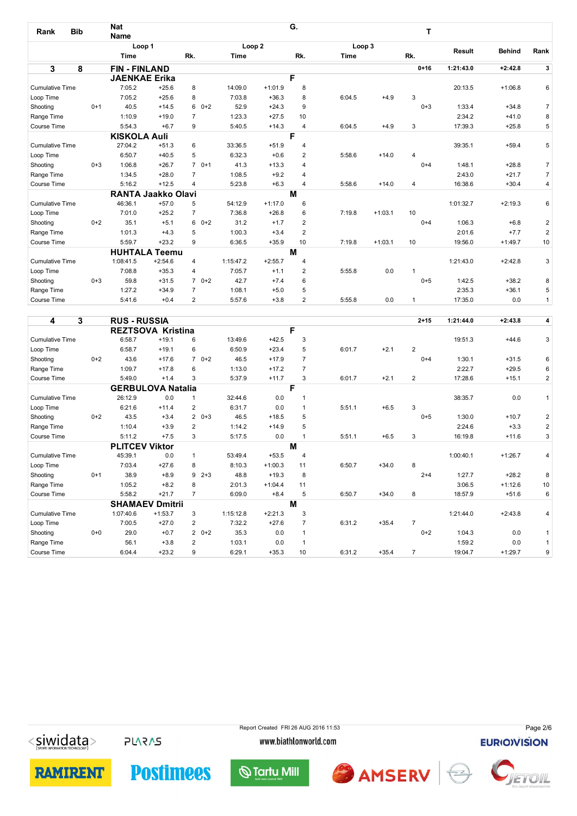| Rank                   | <b>Bib</b> | <b>Nat</b><br>Name  |                           |                |                   |           | G.             |        |           | т              |           |               |                |
|------------------------|------------|---------------------|---------------------------|----------------|-------------------|-----------|----------------|--------|-----------|----------------|-----------|---------------|----------------|
|                        |            | Loop 1              |                           |                | Loop <sub>2</sub> |           |                | Loop 3 |           |                |           |               |                |
|                        |            | <b>Time</b>         |                           | Rk.            | Time              |           | Rk.            | Time   |           | Rk.            | Result    | <b>Behind</b> | Rank           |
| $\mathbf{3}$           | 8          | <b>FIN-FINLAND</b>  |                           |                |                   |           |                |        |           | $0 + 16$       | 1:21:43.0 | $+2:42.8$     | $\mathbf{3}$   |
|                        |            |                     | <b>JAENKAE Erika</b>      |                |                   |           | F              |        |           |                |           |               |                |
| <b>Cumulative Time</b> |            | 7:05.2              | $+25.6$                   | 8              | 14:09.0           | $+1:01.9$ | 8              |        |           |                | 20:13.5   | $+1:06.8$     | 6              |
| Loop Time              |            | 7:05.2              | $+25.6$                   | 8              | 7:03.8            | $+36.3$   | 8              | 6:04.5 | $+4.9$    | 3              |           |               |                |
| Shooting               | $0+1$      | 40.5                | $+14.5$                   | $60+2$         | 52.9              | $+24.3$   | 9              |        |           | $0 + 3$        | 1:33.4    | $+34.8$       | $\overline{7}$ |
| Range Time             |            | 1:10.9              | $+19.0$                   | $\overline{7}$ | 1:23.3            | $+27.5$   | 10             |        |           |                | 2:34.2    | $+41.0$       | 8              |
| Course Time            |            | 5:54.3              | $+6.7$                    | 9              | 5:40.5            | $+14.3$   | 4              | 6:04.5 | $+4.9$    | 3              | 17:39.3   | $+25.8$       | 5              |
|                        |            | <b>KISKOLA Auli</b> |                           |                |                   |           | F              |        |           |                |           |               |                |
| <b>Cumulative Time</b> |            | 27:04.2             | $+51.3$                   | 6              | 33:36.5           | $+51.9$   | 4              |        |           |                | 39:35.1   | $+59.4$       | 5              |
| Loop Time              |            | 6:50.7              | $+40.5$                   | 5              | 6:32.3            | $+0.6$    | 2              | 5:58.6 | $+14.0$   | $\overline{4}$ |           |               |                |
| Shooting               | $0 + 3$    | 1:06.8              | $+26.7$                   | $70+1$         | 41.3              | $+13.3$   | 4              |        |           | $0 + 4$        | 1:48.1    | $+28.8$       | $\overline{7}$ |
| Range Time             |            | 1:34.5              | $+28.0$                   | $\overline{7}$ | 1:08.5            | $+9.2$    | 4              |        |           |                | 2:43.0    | $+21.7$       | $\overline{7}$ |
| Course Time            |            | 5:16.2              | $+12.5$                   | 4              | 5:23.8            | $+6.3$    | 4              | 5:58.6 | $+14.0$   | $\overline{4}$ | 16:38.6   | $+30.4$       | 4              |
|                        |            |                     | <b>RANTA Jaakko Olavi</b> |                |                   |           | M              |        |           |                |           |               |                |
| <b>Cumulative Time</b> |            | 46:36.1             | $+57.0$                   | 5              | 54:12.9           | $+1:17.0$ | 6              |        |           |                | 1:01:32.7 | $+2:19.3$     | 6              |
| Loop Time              |            | 7:01.0              | $+25.2$                   | $\overline{7}$ | 7:36.8            | $+26.8$   | 6              | 7:19.8 | $+1:03.1$ | 10             |           |               |                |
| Shooting               | $0 + 2$    | 35.1                | $+5.1$                    | 6<br>$0+2$     | 31.2              | $+1.7$    | $\overline{2}$ |        |           | $0 + 4$        | 1:06.3    | $+6.8$        | $\overline{c}$ |
| Range Time             |            | 1:01.3              | $+4.3$                    | 5              | 1:00.3            | $+3.4$    | $\overline{2}$ |        |           |                | 2:01.6    | $+7.7$        | $\overline{2}$ |
| Course Time            |            | 5:59.7              | $+23.2$                   | 9              | 6:36.5            | $+35.9$   | 10             | 7:19.8 | $+1:03.1$ | 10             | 19:56.0   | $+1:49.7$     | 10             |
|                        |            |                     | <b>HUHTALA Teemu</b>      |                |                   |           | M              |        |           |                |           |               |                |
| <b>Cumulative Time</b> |            | 1:08:41.5           | $+2:54.6$                 | 4              | 1:15:47.2         | $+2:55.7$ | 4              |        |           |                | 1:21:43.0 | $+2:42.8$     | 3              |
| Loop Time              |            | 7:08.8              | $+35.3$                   | 4              | 7:05.7            | $+1.1$    | 2              | 5:55.8 | 0.0       | 1              |           |               |                |
| Shooting               | $0 + 3$    | 59.8                | $+31.5$                   | $70+2$         | 42.7              | $+7.4$    | 6              |        |           | $0 + 5$        | 1:42.5    | $+38.2$       | 8              |
| Range Time             |            | 1:27.2              | $+34.9$                   | $\overline{7}$ | 1:08.1            | $+5.0$    | 5              |        |           |                | 2:35.3    | $+36.1$       | 5              |
| Course Time            |            | 5:41.6              | $+0.4$                    | 2              | 5:57.6            | $+3.8$    | $\overline{2}$ | 5:55.8 | 0.0       | 1              | 17:35.0   | 0.0           | $\mathbf{1}$   |

| 4                      | 3     | <b>RUS - RUSSIA</b>   |                          |                |           |           |                |        |         | $2 + 15$       | 1:21:44.0 | $+2:43.8$ | 4              |
|------------------------|-------|-----------------------|--------------------------|----------------|-----------|-----------|----------------|--------|---------|----------------|-----------|-----------|----------------|
|                        |       |                       | <b>REZTSOVA Kristina</b> |                |           |           | F              |        |         |                |           |           |                |
| <b>Cumulative Time</b> |       | 6:58.7                | $+19.1$                  | 6              | 13:49.6   | $+42.5$   | 3              |        |         |                | 19:51.3   | $+44.6$   | 3              |
| Loop Time              |       | 6:58.7                | $+19.1$                  | 6              | 6:50.9    | $+23.4$   | 5              | 6:01.7 | $+2.1$  | $\overline{2}$ |           |           |                |
| Shooting               | $0+2$ | 43.6                  | $+17.6$                  | $70+2$         | 46.5      | $+17.9$   | $\overline{7}$ |        |         | $0 + 4$        | 1:30.1    | $+31.5$   | 6              |
| Range Time             |       | 1:09.7                | $+17.8$                  | 6              | 1:13.0    | $+17.2$   | $\overline{7}$ |        |         |                | 2:22.7    | $+29.5$   | 6              |
| Course Time            |       | 5:49.0                | $+1.4$                   | 3              | 5:37.9    | $+11.7$   | 3              | 6:01.7 | $+2.1$  | 2              | 17:28.6   | $+15.1$   | 2              |
|                        |       |                       | <b>GERBULOVA Natalia</b> |                |           |           | F              |        |         |                |           |           |                |
| <b>Cumulative Time</b> |       | 26:12.9               | 0.0                      |                | 32:44.6   | 0.0       |                |        |         |                | 38:35.7   | 0.0       | $\mathbf{1}$   |
| Loop Time              |       | 6:21.6                | $+11.4$                  | 2              | 6:31.7    | 0.0       |                | 5:51.1 | $+6.5$  | 3              |           |           |                |
| Shooting               | $0+2$ | 43.5                  | $+3.4$                   | $20+3$         | 46.5      | $+18.5$   | 5              |        |         | $0 + 5$        | 1:30.0    | $+10.7$   | $\overline{c}$ |
| Range Time             |       | 1:10.4                | $+3.9$                   | $\overline{2}$ | 1:14.2    | $+14.9$   | 5              |        |         |                | 2:24.6    | $+3.3$    | $\overline{2}$ |
| Course Time            |       | 5:11.2                | $+7.5$                   | 3              | 5:17.5    | 0.0       |                | 5:51.1 | $+6.5$  | 3              | 16:19.8   | $+11.6$   | 3              |
|                        |       | <b>PLITCEV Viktor</b> |                          |                |           |           | м              |        |         |                |           |           |                |
| <b>Cumulative Time</b> |       | 45:39.1               | 0.0                      | 1              | 53:49.4   | $+53.5$   | 4              |        |         |                | 1:00:40.1 | $+1:26.7$ | 4              |
| Loop Time              |       | 7:03.4                | $+27.6$                  | 8              | 8:10.3    | $+1:00.3$ | 11             | 6:50.7 | $+34.0$ | 8              |           |           |                |
| Shooting               | $0+1$ | 38.9                  | $+8.9$                   | 9<br>$2 + 3$   | 48.8      | $+19.3$   | 8              |        |         | $2 + 4$        | 1:27.7    | $+28.2$   | 8              |
| Range Time             |       | 1:05.2                | $+8.2$                   | 8              | 2:01.3    | $+1:04.4$ | 11             |        |         |                | 3:06.5    | $+1:12.6$ | 10             |
| Course Time            |       | 5:58.2                | $+21.7$                  | 7              | 6:09.0    | $+8.4$    | 5              | 6:50.7 | $+34.0$ | 8              | 18:57.9   | $+51.6$   | 6              |
|                        |       | <b>SHAMAEV</b>        | <b>Dmitrii</b>           |                |           |           | M              |        |         |                |           |           |                |
| <b>Cumulative Time</b> |       | 1:07:40.6             | $+1:53.7$                | 3              | 1:15:12.8 | $+2:21.3$ | 3              |        |         |                | 1:21:44.0 | $+2:43.8$ | 4              |
| Loop Time              |       | 7:00.5                | $+27.0$                  | 2              | 7:32.2    | $+27.6$   | $\overline{7}$ | 6:31.2 | $+35.4$ | $\overline{7}$ |           |           |                |
| Shooting               | $0+0$ | 29.0                  | $+0.7$                   | $20+2$         | 35.3      | 0.0       | 1              |        |         | $0+2$          | 1:04.3    | 0.0       | $\mathbf{1}$   |
| Range Time             |       | 56.1                  | $+3.8$                   | $\overline{2}$ | 1:03.1    | 0.0       |                |        |         |                | 1:59.2    | 0.0       | $\mathbf{1}$   |
| Course Time            |       | 6:04.4                | $+23.2$                  | 9              | 6:29.1    | $+35.3$   | 10             | 6:31.2 | $+35.4$ | $\overline{7}$ | 19:04.7   | $+1:29.7$ | 9              |

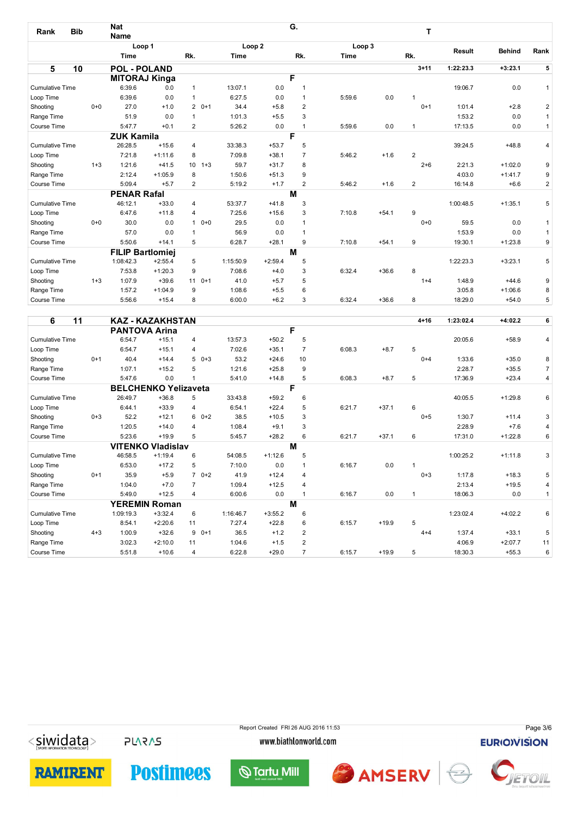| Rank                   | <b>Bib</b> | <b>Nat</b><br><b>Name</b> |                         |          |           |                   | G.             |        |         | т              |               |               |                         |
|------------------------|------------|---------------------------|-------------------------|----------|-----------|-------------------|----------------|--------|---------|----------------|---------------|---------------|-------------------------|
|                        |            |                           | Loop 1                  |          |           | Loop <sub>2</sub> |                | Loop 3 |         |                |               |               |                         |
|                        |            | <b>Time</b>               |                         | Rk.      | Time      |                   | Rk.            | Time   |         | Rk.            | <b>Result</b> | <b>Behind</b> | Rank                    |
| 5                      | 10         | <b>POL - POLAND</b>       |                         |          |           |                   |                |        |         | $3 + 11$       | 1:22:23.3     | $+3:23.1$     | 5                       |
|                        |            |                           | <b>MITORAJ Kinga</b>    |          |           |                   | F              |        |         |                |               |               |                         |
| <b>Cumulative Time</b> |            | 6:39.6                    | 0.0                     | 1        | 13:07.1   | 0.0               | 1              |        |         |                | 19:06.7       | 0.0           | $\mathbf{1}$            |
| Loop Time              |            | 6:39.6                    | 0.0                     | 1        | 6:27.5    | 0.0               | 1              | 5:59.6 | 0.0     |                |               |               |                         |
| Shooting               | $0+0$      | 27.0                      | $+1.0$                  |          | $20+1$    | $+5.8$<br>34.4    | 2              |        |         | $0+1$          | 1:01.4        | $+2.8$        | $\overline{2}$          |
| Range Time             |            | 51.9                      | 0.0                     |          | 1:01.3    | $+5.5$            | 3              |        |         |                | 1:53.2        | 0.0           | $\mathbf{1}$            |
| Course Time            |            | 5:47.7                    | $+0.1$                  | 2        | 5:26.2    | 0.0               | $\mathbf 1$    | 5:59.6 | 0.0     | $\mathbf{1}$   | 17:13.5       | 0.0           | $\mathbf{1}$            |
|                        |            | <b>ZUK Kamila</b>         |                         |          |           |                   | F              |        |         |                |               |               |                         |
| <b>Cumulative Time</b> |            | 26:28.5                   | $+15.6$                 | 4        | 33:38.3   | $+53.7$           | 5              |        |         |                | 39:24.5       | $+48.8$       | $\overline{4}$          |
| Loop Time              |            | 7:21.8                    | $+1:11.6$               | 8        | 7:09.8    | $+38.1$           | $\overline{7}$ | 5:46.2 | $+1.6$  | $\overline{2}$ |               |               |                         |
| Shooting               | $1 + 3$    | 1:21.6                    | $+41.5$                 |          | $10 + 3$  | 59.7<br>$+31.7$   | 8              |        |         | $2 + 6$        | 2:21.3        | $+1:02.0$     | 9                       |
| Range Time             |            | 2:12.4                    | $+1:05.9$               | 8        | 1:50.6    | $+51.3$           | 9              |        |         |                | 4:03.0        | $+1:41.7$     | 9                       |
| Course Time            |            | 5:09.4                    | $+5.7$                  | 2        | 5:19.2    | $+1.7$            | $\overline{2}$ | 5:46.2 | $+1.6$  | $\overline{2}$ | 16:14.8       | $+6.6$        | $\overline{\mathbf{c}}$ |
|                        |            | <b>PENAR Rafal</b>        |                         |          |           |                   | M              |        |         |                |               |               |                         |
| <b>Cumulative Time</b> |            | 46:12.1                   | $+33.0$                 | 4        | 53:37.7   | $+41.8$           | 3              |        |         |                | 1:00:48.5     | $+1:35.1$     | 5                       |
| Loop Time              |            | 6:47.6                    | $+11.8$                 | 4        | 7:25.6    | $+15.6$           | 3              | 7:10.8 | $+54.1$ | 9              |               |               |                         |
| Shooting               | $0+0$      | 30.0                      | 0.0                     |          | $10+0$    | 29.5<br>0.0       | 1              |        |         | $0+0$          | 59.5          | 0.0           | $\mathbf{1}$            |
| Range Time             |            | 57.0                      | 0.0                     |          | 56.9      | 0.0               | $\mathbf 1$    |        |         |                | 1:53.9        | 0.0           | $\mathbf{1}$            |
| Course Time            |            | 5:50.6                    | $+14.1$                 | 5        | 6:28.7    | $+28.1$           | 9              | 7:10.8 | $+54.1$ | 9              | 19:30.1       | $+1:23.8$     | 9                       |
|                        |            |                           | <b>FILIP Bartlomiej</b> |          |           |                   | M              |        |         |                |               |               |                         |
| <b>Cumulative Time</b> |            | 1:08:42.3                 | $+2:55.4$               | 5        | 1:15:50.9 | $+2:59.4$         | 5              |        |         |                | 1:22:23.3     | $+3:23.1$     | 5                       |
| Loop Time              |            | 7:53.8                    | $+1:20.3$               | 9        | 7:08.6    | $+4.0$            | 3              | 6:32.4 | $+36.6$ | 8              |               |               |                         |
| Shooting               | $1 + 3$    | 1:07.9                    | $+39.6$                 | $11 0+1$ | 41.0      | $+5.7$            | 5              |        |         | $1+4$          | 1:48.9        | $+44.6$       | 9                       |
| Range Time             |            | 1:57.2                    | $+1:04.9$               | 9        | 1:08.6    | $+5.5$            | 6              |        |         |                | 3:05.8        | $+1:06.6$     | 8                       |
| Course Time            |            | 5:56.6                    | $+15.4$                 | 8        | 6:00.0    | $+6.2$            | 3              | 6:32.4 | $+36.6$ | 8              | 18:29.0       | $+54.0$       | 5                       |

| 6<br>11                |         |           | KAZ - KAZAKHSTAN            |                |           |           |                |        |         | $4 + 16$ | 1:23:02.4 | $+4:02.2$ | 6              |
|------------------------|---------|-----------|-----------------------------|----------------|-----------|-----------|----------------|--------|---------|----------|-----------|-----------|----------------|
|                        |         |           | <b>PANTOVA Arina</b>        |                |           |           | F              |        |         |          |           |           |                |
| <b>Cumulative Time</b> |         | 6:54.7    | $+15.1$                     | $\overline{4}$ | 13:57.3   | $+50.2$   | 5              |        |         |          | 20:05.6   | $+58.9$   | $\overline{4}$ |
| Loop Time              |         | 6:54.7    | $+15.1$                     | 4              | 7:02.6    | $+35.1$   | $\overline{7}$ | 6:08.3 | $+8.7$  | 5        |           |           |                |
| Shooting               | $0+1$   | 40.4      | $+14.4$                     | $50+3$         | 53.2      | $+24.6$   | 10             |        |         | $0+4$    | 1:33.6    | $+35.0$   | 8              |
| Range Time             |         | 1:07.1    | $+15.2$                     | 5              | 1:21.6    | $+25.8$   | 9              |        |         |          | 2:28.7    | $+35.5$   | $\overline{7}$ |
| Course Time            |         | 5:47.6    | 0.0                         |                | 5:41.0    | $+14.8$   | 5              | 6:08.3 | $+8.7$  | 5        | 17:36.9   | $+23.4$   | $\overline{4}$ |
|                        |         |           | <b>BELCHENKO Yelizaveta</b> |                |           |           | F              |        |         |          |           |           |                |
| <b>Cumulative Time</b> |         | 26:49.7   | $+36.8$                     | 5              | 33:43.8   | $+59.2$   | 6              |        |         |          | 40:05.5   | $+1:29.8$ | 6              |
| Loop Time              |         | 6:44.1    | $+33.9$                     | 4              | 6:54.1    | $+22.4$   | 5              | 6:21.7 | $+37.1$ | 6        |           |           |                |
| Shooting               | $0 + 3$ | 52.2      | $+12.1$                     | $60+2$         | 38.5      | $+10.5$   | 3              |        |         | $0 + 5$  | 1:30.7    | $+11.4$   | 3              |
| Range Time             |         | 1:20.5    | $+14.0$                     | 4              | 1:08.4    | $+9.1$    | 3              |        |         |          | 2:28.9    | $+7.6$    | 4              |
| Course Time            |         | 5:23.6    | $+19.9$                     | 5              | 5:45.7    | $+28.2$   | 6              | 6:21.7 | $+37.1$ | 6        | 17:31.0   | $+1:22.8$ | 6              |
|                        |         |           | <b>VITENKO Vladislav</b>    |                |           |           | М              |        |         |          |           |           |                |
| <b>Cumulative Time</b> |         | 46:58.5   | $+1:19.4$                   | 6              | 54:08.5   | $+1:12.6$ | 5              |        |         |          | 1:00:25.2 | $+1:11.8$ | 3              |
| Loop Time              |         | 6:53.0    | $+17.2$                     | 5              | 7:10.0    | 0.0       |                | 6:16.7 | 0.0     |          |           |           |                |
| Shooting               | $0+1$   | 35.9      | $+5.9$                      | $70+2$         | 41.9      | $+12.4$   | $\overline{4}$ |        |         | $0 + 3$  | 1:17.8    | $+18.3$   | 5              |
| Range Time             |         | 1:04.0    | $+7.0$                      | 7              | 1:09.4    | $+12.5$   | 4              |        |         |          | 2:13.4    | $+19.5$   | 4              |
| Course Time            |         | 5:49.0    | $+12.5$                     | 4              | 6:00.6    | 0.0       |                | 6:16.7 | 0.0     | 1        | 18:06.3   | 0.0       | $\mathbf{1}$   |
|                        |         |           | <b>YEREMIN Roman</b>        |                |           |           | M              |        |         |          |           |           |                |
| <b>Cumulative Time</b> |         | 1:09:19.3 | $+3:32.4$                   | 6              | 1:16:46.7 | $+3:55.2$ | 6              |        |         |          | 1:23:02.4 | $+4:02.2$ | 6              |
| Loop Time              |         | 8:54.1    | $+2:20.6$                   | 11             | 7:27.4    | $+22.8$   | 6              | 6:15.7 | $+19.9$ | 5        |           |           |                |
| Shooting               | $4 + 3$ | 1:00.9    | $+32.6$                     | 9<br>$0+1$     | 36.5      | $+1.2$    | $\overline{2}$ |        |         | $4 + 4$  | 1:37.4    | $+33.1$   | 5              |
| Range Time             |         | 3:02.3    | $+2:10.0$                   | 11             | 1:04.6    | $+1.5$    | $\overline{2}$ |        |         |          | 4:06.9    | $+2:07.7$ | 11             |
| Course Time            |         | 5:51.8    | $+10.6$                     | $\overline{4}$ | 6:22.8    | $+29.0$   | 7              | 6:15.7 | $+19.9$ | 5        | 18:30.3   | $+55.3$   | 6              |

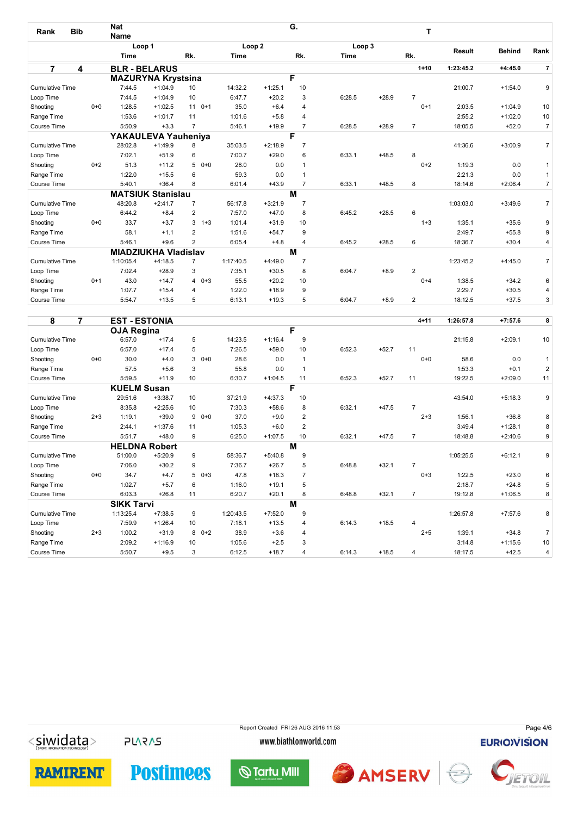| <b>Bib</b><br>Rank     |         | <b>Nat</b><br><b>Name</b> |                             |                |                   |           | G.             |        |         | Т              |           |               |                |
|------------------------|---------|---------------------------|-----------------------------|----------------|-------------------|-----------|----------------|--------|---------|----------------|-----------|---------------|----------------|
|                        |         |                           | Loop 1                      |                | Loop <sub>2</sub> |           |                | Loop 3 |         |                |           |               |                |
|                        |         | Time                      |                             | Rk.            | Time              |           | Rk.            | Time   |         | Rk.            | Result    | <b>Behind</b> | Rank           |
| $\overline{7}$         | 4       |                           | <b>BLR - BELARUS</b>        |                |                   |           |                |        |         | $1 + 10$       | 1:23:45.2 | +4:45.0       | $\overline{7}$ |
|                        |         |                           | <b>MAZURYNA Krystsina</b>   |                |                   |           | F              |        |         |                |           |               |                |
| <b>Cumulative Time</b> |         | 7:44.5                    | $+1:04.9$                   | 10             | 14:32.2           | $+1:25.1$ | 10             |        |         |                | 21:00.7   | $+1:54.0$     | 9              |
| Loop Time              |         | 7:44.5                    | $+1:04.9$                   | 10             | 6:47.7            | $+20.2$   | 3              | 6:28.5 | $+28.9$ | $\overline{7}$ |           |               |                |
| Shooting               | $0 + 0$ | 1:28.5                    | $+1:02.5$                   | 11<br>$0+1$    | 35.0              | $+6.4$    | 4              |        |         | $0+1$          | 2:03.5    | $+1:04.9$     | 10             |
| Range Time             |         | 1:53.6                    | $+1:01.7$                   | 11             | 1:01.6            | $+5.8$    | 4              |        |         |                | 2:55.2    | $+1:02.0$     | 10             |
| Course Time            |         | 5:50.9                    | $+3.3$                      | $\overline{7}$ | 5:46.1            | $+19.9$   | $\overline{7}$ | 6:28.5 | $+28.9$ | $\overline{7}$ | 18:05.5   | $+52.0$       | $\overline{7}$ |
|                        |         |                           | YAKAULEVA Yauheniya         |                |                   |           | F              |        |         |                |           |               |                |
| <b>Cumulative Time</b> |         | 28:02.8                   | $+1:49.9$                   | 8              | 35:03.5           | $+2:18.9$ | $\overline{7}$ |        |         |                | 41:36.6   | $+3:00.9$     | $\overline{7}$ |
| Loop Time              |         | 7:02.1                    | $+51.9$                     | 6              | 7:00.7            | $+29.0$   | 6              | 6:33.1 | $+48.5$ | 8              |           |               |                |
| Shooting               | $0+2$   | 51.3                      | $+11.2$                     | $50+0$         | 28.0              | 0.0       | $\mathbf{1}$   |        |         | $0+2$          | 1:19.3    | 0.0           | $\mathbf{1}$   |
| Range Time             |         | 1:22.0                    | $+15.5$                     | 6              | 59.3              | 0.0       | $\mathbf{1}$   |        |         |                | 2:21.3    | 0.0           | $\mathbf{1}$   |
| Course Time            |         | 5:40.1                    | $+36.4$                     | 8              | 6:01.4            | $+43.9$   | $\overline{7}$ | 6:33.1 | $+48.5$ | 8              | 18:14.6   | $+2:06.4$     | $\overline{7}$ |
|                        |         |                           | <b>MATSIUK Stanislau</b>    |                |                   |           | М              |        |         |                |           |               |                |
| <b>Cumulative Time</b> |         | 48:20.8                   | $+2:41.7$                   | $\overline{7}$ | 56:17.8           | $+3:21.9$ | $\overline{7}$ |        |         |                | 1:03:03.0 | $+3:49.6$     | $\overline{7}$ |
| Loop Time              |         | 6:44.2                    | $+8.4$                      | 2              | 7:57.0            | $+47.0$   | 8              | 6:45.2 | $+28.5$ | 6              |           |               |                |
| Shooting               | $0+0$   | 33.7                      | $+3.7$                      | $3 + 3$        | 1:01.4            | $+31.9$   | 10             |        |         | $1 + 3$        | 1:35.1    | $+35.6$       | 9              |
| Range Time             |         | 58.1                      | $+1.1$                      | 2              | 1:51.6            | $+54.7$   | 9              |        |         |                | 2:49.7    | $+55.8$       | 9              |
| Course Time            |         | 5:46.1                    | $+9.6$                      | 2              | 6:05.4            | $+4.8$    | 4              | 6:45.2 | $+28.5$ | 6              | 18:36.7   | $+30.4$       | 4              |
|                        |         |                           | <b>MIADZIUKHA Vladislav</b> |                |                   |           | M              |        |         |                |           |               |                |
| <b>Cumulative Time</b> |         | 1:10:05.4                 | $+4:18.5$                   | $\overline{7}$ | 1:17:40.5         | $+4:49.0$ | $\overline{7}$ |        |         |                | 1:23:45.2 | $+4:45.0$     | $\overline{7}$ |
| Loop Time              |         | 7:02.4                    | $+28.9$                     | 3              | 7:35.1            | $+30.5$   | 8              | 6:04.7 | $+8.9$  | $\overline{2}$ |           |               |                |
| Shooting               | $0+1$   | 43.0                      | $+14.7$                     | $40+3$         | 55.5              | $+20.2$   | 10             |        |         | $0 + 4$        | 1:38.5    | $+34.2$       | 6              |
| Range Time             |         | 1:07.7                    | $+15.4$                     | 4              | 1:22.0            | $+18.9$   | 9              |        |         |                | 2:29.7    | $+30.5$       | $\overline{4}$ |
| Course Time            |         | 5:54.7                    | $+13.5$                     | 5              | 6:13.1            | $+19.3$   | 5              | 6:04.7 | $+8.9$  | 2              | 18:12.5   | $+37.5$       | 3              |

| 8<br>7                 |         | <b>EST-ESTONIA</b> |                      |              |           |           |                |        |         | $4 + 11$       | 1:26:57.8 | $+7:57.6$ | 8              |
|------------------------|---------|--------------------|----------------------|--------------|-----------|-----------|----------------|--------|---------|----------------|-----------|-----------|----------------|
|                        |         | <b>OJA Regina</b>  |                      |              |           |           | F              |        |         |                |           |           |                |
| <b>Cumulative Time</b> |         | 6:57.0             | $+17.4$              | 5            | 14:23.5   | $+1:16.4$ | 9              |        |         |                | 21:15.8   | $+2:09.1$ | 10             |
| Loop Time              |         | 6:57.0             | $+17.4$              | 5            | 7:26.5    | $+59.0$   | 10             | 6:52.3 | $+52.7$ | 11             |           |           |                |
| Shooting               | $0+0$   | 30.0               | $+4.0$               | 3<br>$0+0$   | 28.6      | 0.0       | $\mathbf{1}$   |        |         | $0+0$          | 58.6      | 0.0       | $\mathbf{1}$   |
| Range Time             |         | 57.5               | $+5.6$               | 3            | 55.8      | 0.0       | $\overline{1}$ |        |         |                | 1:53.3    | $+0.1$    | $\overline{2}$ |
| Course Time            |         | 5:59.5             | $+11.9$              | 10           | 6:30.7    | $+1:04.5$ | 11             | 6:52.3 | $+52.7$ | 11             | 19:22.5   | $+2:09.0$ | 11             |
|                        |         | <b>KUELM Susan</b> |                      |              |           |           | F              |        |         |                |           |           |                |
| <b>Cumulative Time</b> |         | 29:51.6            | $+3:38.7$            | 10           | 37:21.9   | $+4:37.3$ | 10             |        |         |                | 43:54.0   | $+5:18.3$ | 9              |
| Loop Time              |         | 8:35.8             | $+2:25.6$            | 10           | 7:30.3    | $+58.6$   | 8              | 6:32.1 | $+47.5$ | $\overline{7}$ |           |           |                |
| Shooting               | $2 + 3$ | 1:19.1             | $+39.0$              | 9<br>$0 + 0$ | 37.0      | $+9.0$    | $\overline{2}$ |        |         | $2 + 3$        | 1:56.1    | $+36.8$   | 8              |
| Range Time             |         | 2:44.1             | $+1:37.6$            | 11           | 1:05.3    | $+6.0$    | $\overline{2}$ |        |         |                | 3:49.4    | $+1:28.1$ | 8              |
| Course Time            |         | 5:51.7             | $+48.0$              | 9            | 6:25.0    | $+1:07.5$ | 10             | 6:32.1 | $+47.5$ | $\overline{7}$ | 18:48.8   | $+2:40.6$ | 9              |
|                        |         |                    | <b>HELDNA Robert</b> |              |           |           | M              |        |         |                |           |           |                |
| <b>Cumulative Time</b> |         | 51:00.0            | $+5:20.9$            | 9            | 58:36.7   | $+5:40.8$ | 9              |        |         |                | 1:05:25.5 | $+6:12.1$ | 9              |
| Loop Time              |         | 7:06.0             | $+30.2$              | 9            | 7:36.7    | $+26.7$   | 5              | 6:48.8 | $+32.1$ | 7              |           |           |                |
| Shooting               | $0+0$   | 34.7               | $+4.7$               | 5<br>$0 + 3$ | 47.8      | $+18.3$   | $\overline{7}$ |        |         | $0 + 3$        | 1:22.5    | $+23.0$   | 6              |
| Range Time             |         | 1:02.7             | $+5.7$               | 6            | 1:16.0    | $+19.1$   | 5              |        |         |                | 2:18.7    | $+24.8$   | 5              |
| Course Time            |         | 6:03.3             | $+26.8$              | 11           | 6:20.7    | $+20.1$   | 8              | 6:48.8 | $+32.1$ | $\overline{7}$ | 19:12.8   | $+1:06.5$ | 8              |
|                        |         | <b>SIKK Tarvi</b>  |                      |              |           |           | M              |        |         |                |           |           |                |
| <b>Cumulative Time</b> |         | 1:13:25.4          | $+7:38.5$            | 9            | 1:20:43.5 | $+7:52.0$ | 9              |        |         |                | 1:26:57.8 | $+7:57.6$ | 8              |
| Loop Time              |         | 7:59.9             | $+1:26.4$            | 10           | 7:18.1    | $+13.5$   | 4              | 6:14.3 | $+18.5$ | $\overline{4}$ |           |           |                |
| Shooting               | $2 + 3$ | 1:00.2             | $+31.9$              | $0+2$<br>8   | 38.9      | $+3.6$    | 4              |        |         | $2 + 5$        | 1:39.1    | $+34.8$   | $\overline{7}$ |
| Range Time             |         | 2:09.2             | $+1:16.9$            | 10           | 1:05.6    | $+2.5$    | 3              |        |         |                | 3:14.8    | $+1:15.6$ | 10             |
| Course Time            |         | 5:50.7             | $+9.5$               | 3            | 6:12.5    | $+18.7$   | 4              | 6:14.3 | $+18.5$ | $\overline{4}$ | 18:17.5   | $+42.5$   | 4              |

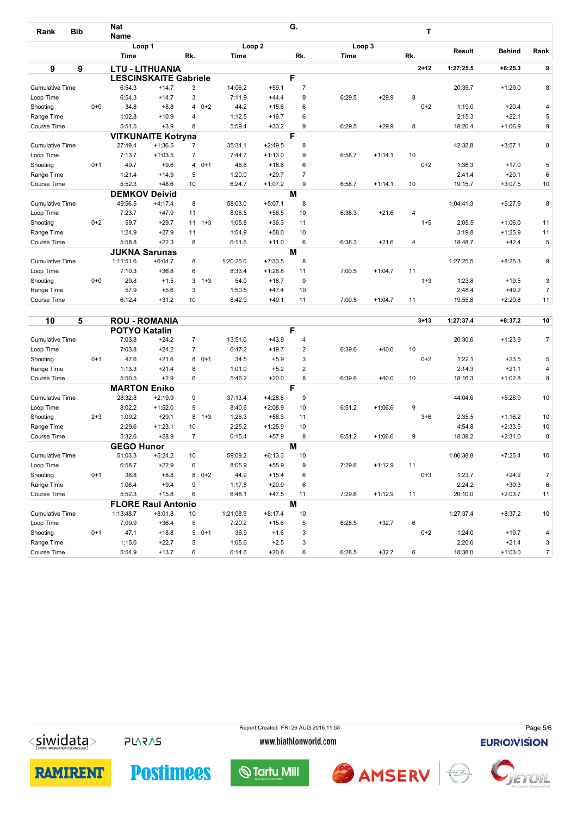| Rank                   | <b>Bib</b> |         | <b>Nat</b><br><b>Name</b> |                              |                |            |                   |           | G.             |        |           | т        |               |               |                |
|------------------------|------------|---------|---------------------------|------------------------------|----------------|------------|-------------------|-----------|----------------|--------|-----------|----------|---------------|---------------|----------------|
|                        |            |         | Loop 1                    |                              |                |            | Loop <sub>2</sub> |           |                | Loop 3 |           |          |               |               |                |
|                        |            |         | <b>Time</b>               |                              | Rk.            |            | Time              |           | Rk.            | Time   |           | Rk.      | <b>Result</b> | <b>Behind</b> | Rank           |
| 9                      | 9          |         |                           | <b>LTU - LITHUANIA</b>       |                |            |                   |           |                |        |           | $2 + 12$ | 1:27:25.5     | $+8:25.3$     | 9              |
|                        |            |         |                           | <b>LESCINSKAITE Gabriele</b> |                |            |                   |           | F              |        |           |          |               |               |                |
| <b>Cumulative Time</b> |            |         | 6:54.3                    | $+14.7$                      | 3              |            | 14:06.2           | $+59.1$   | $\overline{7}$ |        |           |          | 20:35.7       | $+1:29.0$     | 8              |
| Loop Time              |            |         | 6:54.3                    | $+14.7$                      | 3              |            | 7:11.9            | $+44.4$   | 9              | 6:29.5 | $+29.9$   | 8        |               |               |                |
| Shooting               |            | $0 + 0$ | 34.8                      | $+8.8$                       |                | $40+2$     | 44.2              | $+15.6$   | 6              |        |           | $0+2$    | 1:19.0        | $+20.4$       | 4              |
| Range Time             |            |         | 1:02.8                    | $+10.9$                      | 4              |            | 1:12.5            | $+16.7$   | 6              |        |           |          | 2:15.3        | $+22.1$       | 5              |
| Course Time            |            |         | 5:51.5                    | $+3.9$                       | 8              |            | 5:59.4            | $+33.2$   | 9              | 6:29.5 | $+29.9$   | 8        | 18:20.4       | $+1:06.9$     | 9              |
|                        |            |         |                           | <b>VITKUNAITE Kotryna</b>    |                |            |                   |           | F              |        |           |          |               |               |                |
| <b>Cumulative Time</b> |            |         | 27:49.4                   | $+1:36.5$                    | $\overline{7}$ |            | 35:34.1           | $+2:49.5$ | 8              |        |           |          | 42:32.8       | $+3:57.1$     | 8              |
| Loop Time              |            |         | 7:13.7                    | $+1:03.5$                    | $\overline{7}$ |            | 7:44.7            | $+1:13.0$ | 9              | 6:58.7 | $+1:14.1$ | 10       |               |               |                |
| Shooting               |            | $0+1$   | 49.7                      | $+9.6$                       |                | $40+1$     | 46.6              | $+18.6$   | 6              |        |           | $0 + 2$  | 1:36.3        | $+17.0$       | 5              |
| Range Time             |            |         | 1:21.4                    | $+14.9$                      | 5              |            | 1:20.0            | $+20.7$   | $\overline{7}$ |        |           |          | 2:41.4        | $+20.1$       | 6              |
| Course Time            |            |         | 5:52.3                    | $+48.6$                      | 10             |            | 6:24.7            | $+1:07.2$ | 9              | 6:58.7 | $+1:14.1$ | 10       | 19:15.7       | $+3:07.5$     | 10             |
|                        |            |         | <b>DEMKOV</b>             | <b>Deivid</b>                |                |            |                   |           | M              |        |           |          |               |               |                |
| <b>Cumulative Time</b> |            |         | 49:56.5                   | $+4:17.4$                    | 8              |            | 58:03.0           | $+5:07.1$ | 8              |        |           |          | 1:04:41.3     | $+5:27.9$     | 8              |
| Loop Time              |            |         | 7:23.7                    | $+47.9$                      | 11             |            | 8:06.5            | $+56.5$   | 10             | 6:38.3 | $+21.6$   | 4        |               |               |                |
| Shooting               |            | $0 + 2$ | 59.7                      | $+29.7$                      |                | $11 \t1+3$ | 1:05.8            | $+36.3$   | 11             |        |           | $1 + 5$  | 2:05.5        | $+1:06.0$     | 11             |
| Range Time             |            |         | 1:24.9                    | $+27.9$                      | 11             |            | 1:54.9            | $+58.0$   | 10             |        |           |          | 3:19.8        | $+1:25.9$     | 11             |
| Course Time            |            |         | 5:58.8                    | $+22.3$                      | 8              |            | 6:11.6            | $+11.0$   | 6              | 6:38.3 | $+21.6$   | 4        | 18:48.7       | $+42.4$       | 5              |
|                        |            |         |                           | <b>JUKNA Sarunas</b>         |                |            |                   |           | M              |        |           |          |               |               |                |
| <b>Cumulative Time</b> |            |         | 1:11:51.6                 | $+6:04.7$                    | 8              |            | 1:20:25.0         | $+7:33.5$ | 8              |        |           |          | 1:27:25.5     | $+8:25.3$     | 9              |
| Loop Time              |            |         | 7:10.3                    | $+36.8$                      | 6              |            | 8:33.4            | $+1:28.8$ | 11             | 7:00.5 | $+1:04.7$ | 11       |               |               |                |
| Shooting               |            | $0 + 0$ | 29.8                      | $+1.5$                       |                | $3 + 3$    | 54.0              | $+18.7$   | 9              |        |           | $1 + 3$  | 1:23.8        | $+19.5$       | 3              |
| Range Time             |            |         | 57.9                      | $+5.6$                       | 3              |            | 1:50.5            | $+47.4$   | 10             |        |           |          | 2:48.4        | $+49.2$       | $\overline{7}$ |
| Course Time            |            |         | 6:12.4                    | $+31.2$                      | 10             |            | 6:42.9            | $+49.1$   | 11             | 7:00.5 | $+1:04.7$ | 11       | 19:55.8       | $+2:20.8$     | 11             |

| 10                     | 5       |                      | <b>ROU - ROMANIA</b>      |                |           |           |    |        |           | $3 + 13$ | 1:27:37.4 | $+8:37.2$ | 10             |
|------------------------|---------|----------------------|---------------------------|----------------|-----------|-----------|----|--------|-----------|----------|-----------|-----------|----------------|
|                        |         | <b>POTYO Katalin</b> |                           |                |           |           | F  |        |           |          |           |           |                |
| <b>Cumulative Time</b> |         | 7:03.8               | $+24.2$                   | $\overline{7}$ | 13:51.0   | $+43.9$   | 4  |        |           |          | 20:30.6   | $+1:23.9$ | $\overline{7}$ |
| Loop Time              |         | 7:03.8               | $+24.2$                   | $\overline{7}$ | 6:47.2    | $+19.7$   | 2  | 6:39.6 | $+40.0$   | 10       |           |           |                |
| Shooting               | $0+1$   | 47.6                 | $+21.6$                   | $80+1$         | 34.5      | $+5.9$    | 3  |        |           | $0+2$    | 1:22.1    | $+23.5$   | 5              |
| Range Time             |         | 1:13.3               | $+21.4$                   | 8              | 1:01.0    | $+5.2$    | 2  |        |           |          | 2:14.3    | $+21.1$   | 4              |
| Course Time            |         | 5:50.5               | $+2.9$                    | 6              | 5:46.2    | $+20.0$   | 8  | 6:39.6 | $+40.0$   | 10       | 18:16.3   | $+1:02.8$ | 8              |
|                        |         | <b>MARTON Eniko</b>  |                           |                |           |           | F  |        |           |          |           |           |                |
| <b>Cumulative Time</b> |         | 28:32.8              | $+2:19.9$                 | 9              | 37:13.4   | $+4:28.8$ | 9  |        |           |          | 44:04.6   | $+5:28.9$ | 10             |
| Loop Time              |         | 8:02.2               | $+1:52.0$                 | 9              | 8:40.6    | $+2:08.9$ | 10 | 6:51.2 | $+1:06.6$ | 9        |           |           |                |
| Shooting               | $2 + 3$ | 1:09.2               | $+29.1$                   | 8<br>$1 + 3$   | 1:26.3    | $+58.3$   | 11 |        |           | $3 + 6$  | 2:35.5    | $+1:16.2$ | 10             |
| Range Time             |         | 2:29.6               | $+1:23.1$                 | 10             | 2:25.2    | $+1:25.9$ | 10 |        |           |          | 4:54.8    | $+2:33.5$ | 10             |
| Course Time            |         | 5:32.6               | $+28.9$                   | $\overline{7}$ | 6:15.4    | $+57.9$   | 8  | 6:51.2 | $+1:06.6$ | 9        | 18:39.2   | $+2:31.0$ | 8              |
|                        |         | <b>GEGO Hunor</b>    |                           |                |           |           | M  |        |           |          |           |           |                |
| <b>Cumulative Time</b> |         | 51:03.3              | $+5:24.2$                 | 10             | 59:09.2   | $+6:13.3$ | 10 |        |           |          | 1:06:38.8 | $+7:25.4$ | 10             |
| Loop Time              |         | 6:58.7               | $+22.9$                   | 6              | 8:05.9    | $+55.9$   | 9  | 7:29.6 | $+1:12.9$ | 11       |           |           |                |
| Shooting               | $0+1$   | 38.8                 | $+8.8$                    | $80+2$         | 44.9      | $+15.4$   | 6  |        |           | $0 + 3$  | 1:23.7    | $+24.2$   | $\overline{7}$ |
| Range Time             |         | 1:06.4               | $+9.4$                    | 9              | 1:17.8    | $+20.9$   | 6  |        |           |          | 2:24.2    | $+30.3$   | 6              |
| Course Time            |         | 5:52.3               | $+15.8$                   | 6              | 6:48.1    | $+47.5$   | 11 | 7:29.6 | $+1:12.9$ | 11       | 20:10.0   | $+2:03.7$ | 11             |
|                        |         |                      | <b>FLORE Raul Antonio</b> |                |           |           | M  |        |           |          |           |           |                |
| <b>Cumulative Time</b> |         | 1:13:48.7            | $+8:01.8$                 | 10             | 1:21:08.9 | $+8:17.4$ | 10 |        |           |          | 1:27:37.4 | $+8:37.2$ | 10             |
| Loop Time              |         | 7:09.9               | $+36.4$                   | 5              | 7:20.2    | $+15.6$   | 5  | 6:28.5 | $+32.7$   | 6        |           |           |                |
| Shooting               | $0+1$   | 47.1                 | $+18.8$                   | $50+1$         | 36.9      | $+1.6$    | 3  |        |           | $0+2$    | 1:24.0    | $+19.7$   | 4              |
| Range Time             |         | 1:15.0               | $+22.7$                   | 5              | 1:05.6    | $+2.5$    | 3  |        |           |          | 2:20.6    | $+21.4$   | 3              |
| Course Time            |         | 5:54.9               | $+13.7$                   | 6              | 6:14.6    | $+20.8$   | 6  | 6:28.5 | $+32.7$   | 6        | 18:38.0   | $+1:03.0$ | $\overline{7}$ |